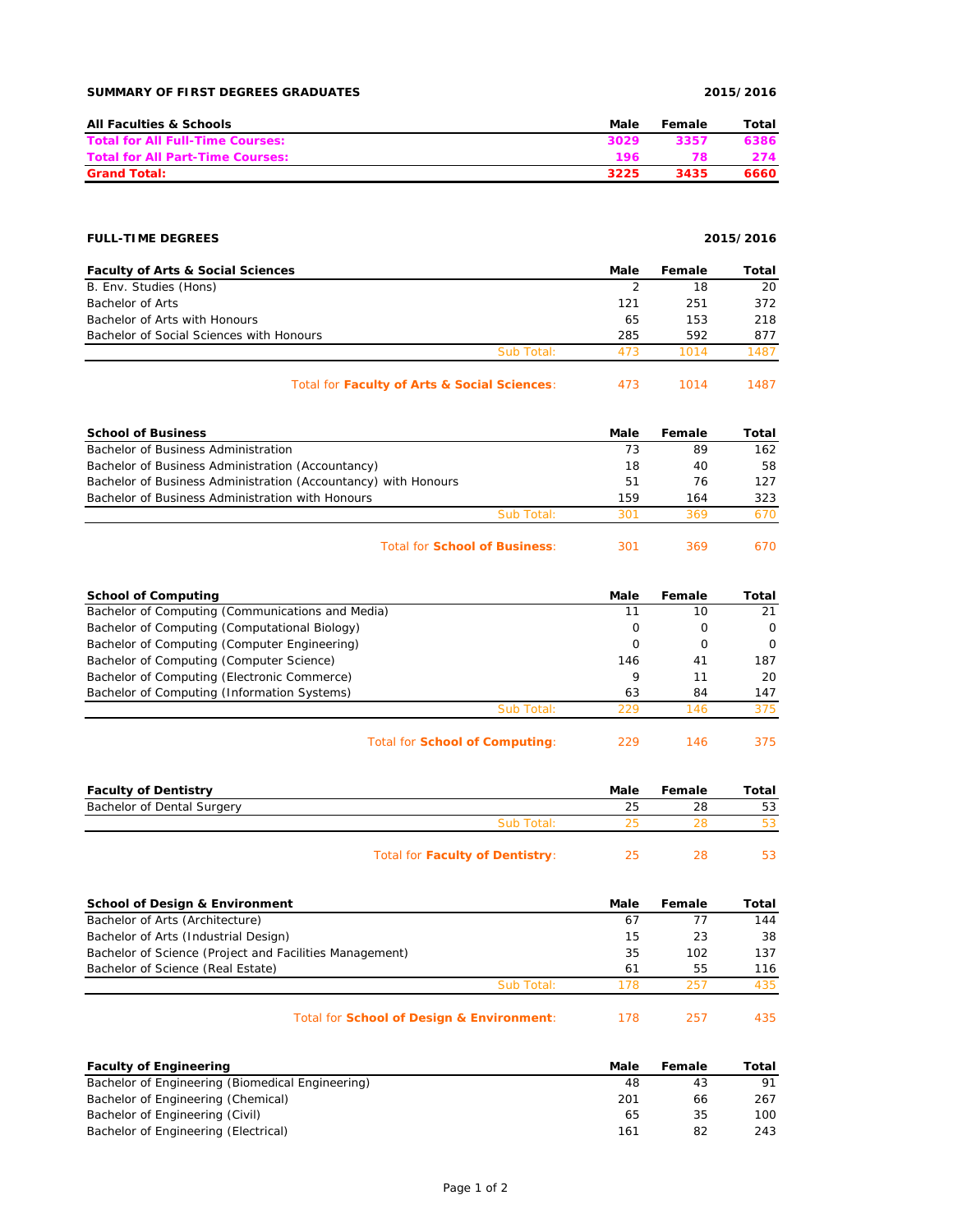| <b>All Faculties &amp; Schools</b>      | Male | Female | Total |
|-----------------------------------------|------|--------|-------|
| <b>Total for All Full-Time Courses:</b> | 3029 | 3357   | 6386  |
| <b>Total for All Part-Time Courses:</b> | 196  | 78     | 274   |
| <b>Grand Total:</b>                     | 3225 | 3435   | 6660  |

## **FULL-TIME DEGREES 2015/2016**

| <b>Faculty of Arts &amp; Social Sciences</b> |            | Male | Female | Total |
|----------------------------------------------|------------|------|--------|-------|
| B. Env. Studies (Hons)                       |            |      | 18     | 20    |
| Bachelor of Arts                             |            | 121  | 251    | 372   |
| Bachelor of Arts with Honours                |            | 65   | 153    | 218   |
| Bachelor of Social Sciences with Honours     |            | 285  | 592    | 877   |
|                                              | Sub Total: | 473  | 1014   | 1487  |
|                                              |            |      |        |       |

## Total for **Faculty of Arts & Social Sciences**: 473 1014 1487

| <b>School of Business</b>                                      |            | Male | <b>Female</b> | Total |
|----------------------------------------------------------------|------------|------|---------------|-------|
| Bachelor of Business Administration                            |            | 73   | 89            | 162   |
| Bachelor of Business Administration (Accountancy)              |            | 18   | 40            | 58    |
| Bachelor of Business Administration (Accountancy) with Honours |            | 51   | 76            | 127   |
| Bachelor of Business Administration with Honours               |            | 159  | 164           | 323   |
|                                                                | Sub Total: | 301  | 369           | 670.  |
|                                                                |            |      |               |       |

## Total for **School of Business**: 301 369 670

| <b>School of Computing</b>                       |            | Male                 | Female | Total                |
|--------------------------------------------------|------------|----------------------|--------|----------------------|
| Bachelor of Computing (Communications and Media) |            |                      | 10     | 21                   |
| Bachelor of Computing (Computational Biology)    |            | Ω                    | O      | $\Omega$             |
| Bachelor of Computing (Computer Engineering)     |            | Ω                    | O      | $\Omega$             |
| Bachelor of Computing (Computer Science)         |            | 146                  | 41     | 187                  |
| Bachelor of Computing (Electronic Commerce)      |            | 9                    | 11     | 20                   |
| Bachelor of Computing (Information Systems)      |            | 63                   | 84     | 147                  |
|                                                  | Sub Total: | 229                  | 146    | 375                  |
|                                                  |            | $\sim$ $\sim$ $\sim$ |        | $\sim$ $\sim$ $\sim$ |

Total for **School of Computing**: 229 146 375

| <b>Faculty of Dentistry</b> |                                 | Male | Female | Total |
|-----------------------------|---------------------------------|------|--------|-------|
| Bachelor of Dental Surgery  |                                 | 25   | 28     | 53    |
|                             | Sub Total:                      |      |        |       |
|                             | Total for Faculty of Dentistry: | つに   | 28     | 53    |

| <b>School of Design &amp; Environment</b>               | Male | Female | Total |
|---------------------------------------------------------|------|--------|-------|
| Bachelor of Arts (Architecture)                         | 67   | 77     | 144   |
| Bachelor of Arts (Industrial Design)                    | 15   | 23     | 38    |
| Bachelor of Science (Project and Facilities Management) | 35   | 102    | 137   |
| Bachelor of Science (Real Estate)                       | 61   | 55     | 116   |
| Sub Total:                                              | 178  | 257    | 435   |
| Total for School of Design & Environment:               | 178  | -257   | 435.  |

| <b>Faculty of Engineering</b>                    | Male | Female | Total |
|--------------------------------------------------|------|--------|-------|
| Bachelor of Engineering (Biomedical Engineering) | 48   | 43     | 91    |
| Bachelor of Engineering (Chemical)               | 201  | 66     | 267   |
| Bachelor of Engineering (Civil)                  | 65   | 35     | 100   |
| Bachelor of Engineering (Electrical)             | 161  | 82     | 243   |